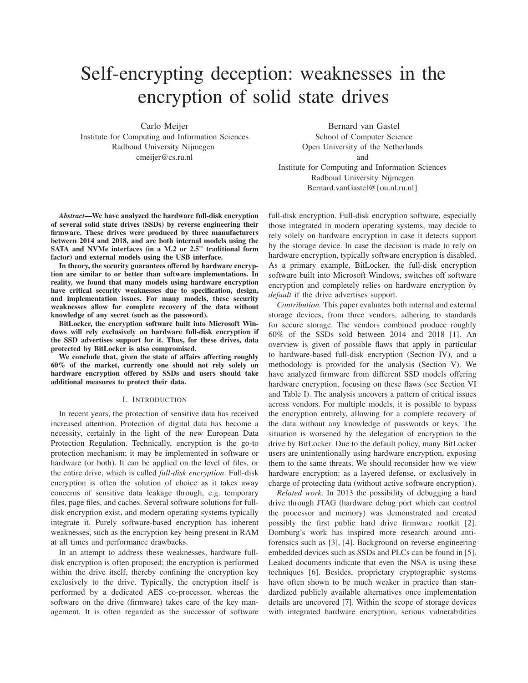# Self-encrypting deception: weaknesses in the encryption of solid state drives

Carlo Meijer Institute for Computing and Information Sciences Radboud University Nijmegen cmeijer@cs.ru.nl

Bernard van Gastel School of Computer Science Open University of the Netherlands and Institute for Computing and Information Sciences Radboud University Nijmegen Bernard.vanGastel@{ou.nl,ru.nl}

*Abstract*—We have analyzed the hardware full-disk encryption of several solid state drives (SSDs) by reverse engineering their firmware. These drives were produced by three manufacturers between 2014 and 2018, and are both internal models using the SATA and NVMe interfaces (in a M.2 or 2.5" traditional form factor) and external models using the USB interface.

In theory, the security guarantees offered by hardware encryption are similar to or better than software implementations. In reality, we found that many models using hardware encryption have critical security weaknesses due to specification, design, and implementation issues. For many models, these security weaknesses allow for complete recovery of the data without knowledge of any secret (such as the password).

BitLocker, the encryption software built into Microsoft Windows will rely exclusively on hardware full-disk encryption if the SSD advertises support for it. Thus, for these drives, data protected by BitLocker is also compromised.

We conclude that, given the state of affairs affecting roughly 60% of the market, currently one should not rely solely on hardware encryption offered by SSDs and users should take additional measures to protect their data.

## I. INTRODUCTION

In recent years, the protection of sensitive data has received increased attention. Protection of digital data has become a necessity, certainly in the light of the new European Data Protection Regulation. Technically, encryption is the go-to protection mechanism; it may be implemented in software or hardware (or both). It can be applied on the level of files, or the entire drive, which is called *full-disk encryption*. Full-disk encryption is often the solution of choice as it takes away concerns of sensitive data leakage through, e.g. temporary files, page files, and caches. Several software solutions for fulldisk encryption exist, and modern operating systems typically integrate it. Purely software-based encryption has inherent weaknesses, such as the encryption key being present in RAM at all times and performance drawbacks.

In an attempt to address these weaknesses, hardware fulldisk encryption is often proposed; the encryption is performed within the drive itself, thereby confining the encryption key exclusively to the drive. Typically, the encryption itself is performed by a dedicated AES co-processor, whereas the software on the drive (firmware) takes care of the key management. It is often regarded as the successor of software

full-disk encryption. Full-disk encryption software, especially those integrated in modern operating systems, may decide to rely solely on hardware encryption in case it detects support by the storage device. In case the decision is made to rely on hardware encryption, typically software encryption is disabled. As a primary example, BitLocker, the full-disk encryption software built into Microsoft Windows, switches off software encryption and completely relies on hardware encryption *by default* if the drive advertises support.

*Contribution.* This paper evaluates both internal and external storage devices, from three vendors, adhering to standards for secure storage. The vendors combined produce roughly 60% of the SSDs sold between 2014 and 2018 [1]. An overview is given of possible flaws that apply in particular to hardware-based full-disk encryption (Section IV), and a methodology is provided for the analysis (Section V). We have analyzed firmware from different SSD models offering hardware encryption, focusing on these flaws (see Section VI and Table I). The analysis uncovers a pattern of critical issues across vendors. For multiple models, it is possible to bypass the encryption entirely, allowing for a complete recovery of the data without any knowledge of passwords or keys. The situation is worsened by the delegation of encryption to the drive by BitLocker. Due to the default policy, many BitLocker users are unintentionally using hardware encryption, exposing them to the same threats. We should reconsider how we view hardware encryption: as a layered defense, or exclusively in charge of protecting data (without active software encryption).

*Related work.* In 2013 the possibility of debugging a hard drive through JTAG (hardware debug port which can control the processor and memory) was demonstrated and created possibly the first public hard drive firmware rootkit [2]. Domburg's work has inspired more research around antiforensics such as [3], [4]. Background on reverse engineering embedded devices such as SSDs and PLCs can be found in [5]. Leaked documents indicate that even the NSA is using these techniques [6]. Besides, proprietary cryptographic systems have often shown to be much weaker in practice than standardized publicly available alternatives once implementation details are uncovered [7]. Within the scope of storage devices with integrated hardware encryption, serious vulnerabilities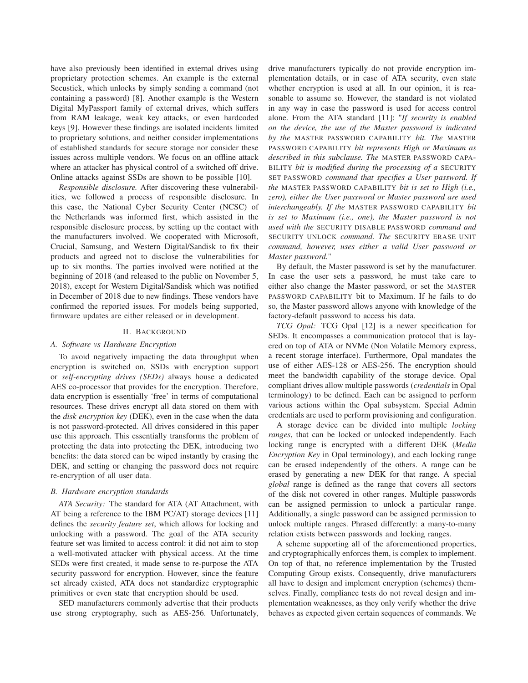have also previously been identified in external drives using proprietary protection schemes. An example is the external Secustick, which unlocks by simply sending a command (not containing a password) [8]. Another example is the Western Digital MyPassport family of external drives, which suffers from RAM leakage, weak key attacks, or even hardcoded keys [9]. However these findings are isolated incidents limited to proprietary solutions, and neither consider implementations of established standards for secure storage nor consider these issues across multiple vendors. We focus on an offline attack where an attacker has physical control of a switched off drive. Online attacks against SSDs are shown to be possible [10].

*Responsible disclosure.* After discovering these vulnerabilities, we followed a process of responsible disclosure. In this case, the National Cyber Security Center (NCSC) of the Netherlands was informed first, which assisted in the responsible disclosure process, by setting up the contact with the manufacturers involved. We cooperated with Microsoft, Crucial, Samsung, and Western Digital/Sandisk to fix their products and agreed not to disclose the vulnerabilities for up to six months. The parties involved were notified at the beginning of 2018 (and released to the public on November 5, 2018), except for Western Digital/Sandisk which was notified in December of 2018 due to new findings. These vendors have confirmed the reported issues. For models being supported, firmware updates are either released or in development.

## II. BACKGROUND

#### *A. Software vs Hardware Encryption*

To avoid negatively impacting the data throughput when encryption is switched on, SSDs with encryption support or *self-encrypting drives (SEDs)* always house a dedicated AES co-processor that provides for the encryption. Therefore, data encryption is essentially 'free' in terms of computational resources. These drives encrypt all data stored on them with the *disk encryption key* (DEK), even in the case when the data is not password-protected. All drives considered in this paper use this approach. This essentially transforms the problem of protecting the data into protecting the DEK, introducing two benefits: the data stored can be wiped instantly by erasing the DEK, and setting or changing the password does not require re-encryption of all user data.

## *B. Hardware encryption standards*

*ATA Security:* The standard for ATA (AT Attachment, with AT being a reference to the IBM PC/AT) storage devices [11] defines the *security feature set*, which allows for locking and unlocking with a password. The goal of the ATA security feature set was limited to access control: it did not aim to stop a well-motivated attacker with physical access. At the time SEDs were first created, it made sense to re-purpose the ATA security password for encryption. However, since the feature set already existed, ATA does not standardize cryptographic primitives or even state that encryption should be used.

SED manufacturers commonly advertise that their products use strong cryptography, such as AES-256. Unfortunately, drive manufacturers typically do not provide encryption implementation details, or in case of ATA security, even state whether encryption is used at all. In our opinion, it is reasonable to assume so. However, the standard is not violated in any way in case the password is used for access control alone. From the ATA standard [11]: "*If security is enabled on the device, the use of the Master password is indicated by the* MASTER PASSWORD CAPABILITY *bit. The* MASTER PASSWORD CAPABILITY *bit represents High or Maximum as described in this subclause. The* MASTER PASSWORD CAPA-BILITY *bit is modified during the processing of a* SECURITY SET PASSWORD *command that specifies a User password. If the* MASTER PASSWORD CAPABILITY *bit is set to High (i.e., zero), either the User password or Master password are used interchangeably. If the* MASTER PASSWORD CAPABILITY *bit is set to Maximum (i.e., one), the Master password is not used with the* SECURITY DISABLE PASSWORD *command and* SECURITY UNLOCK *command. The* SECURITY ERASE UNIT *command, however, uses either a valid User password or Master password.*"

By default, the Master password is set by the manufacturer. In case the user sets a password, he must take care to either also change the Master password, or set the MASTER PASSWORD CAPABILITY bit to Maximum. If he fails to do so, the Master password allows anyone with knowledge of the factory-default password to access his data.

*TCG Opal:* TCG Opal [12] is a newer specification for SEDs. It encompasses a communication protocol that is layered on top of ATA or NVMe (Non Volatile Memory express, a recent storage interface). Furthermore, Opal mandates the use of either AES-128 or AES-256. The encryption should meet the bandwidth capability of the storage device. Opal compliant drives allow multiple passwords (*credentials* in Opal terminology) to be defined. Each can be assigned to perform various actions within the Opal subsystem. Special Admin credentials are used to perform provisioning and configuration.

A storage device can be divided into multiple *locking ranges*, that can be locked or unlocked independently. Each locking range is encrypted with a different DEK (*Media Encryption Key* in Opal terminology), and each locking range can be erased independently of the others. A range can be erased by generating a new DEK for that range. A special *global* range is defined as the range that covers all sectors of the disk not covered in other ranges. Multiple passwords can be assigned permission to unlock a particular range. Additionally, a single password can be assigned permission to unlock multiple ranges. Phrased differently: a many-to-many relation exists between passwords and locking ranges.

A scheme supporting all of the aforementioned properties, and cryptographically enforces them, is complex to implement. On top of that, no reference implementation by the Trusted Computing Group exists. Consequently, drive manufacturers all have to design and implement encryption (schemes) themselves. Finally, compliance tests do not reveal design and implementation weaknesses, as they only verify whether the drive behaves as expected given certain sequences of commands. We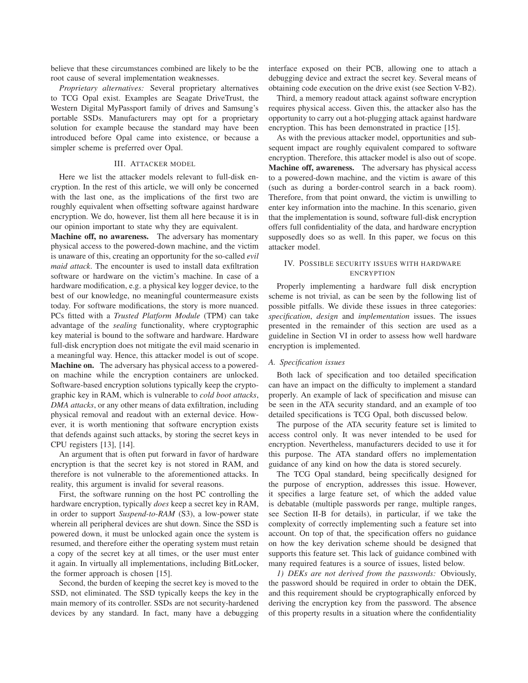believe that these circumstances combined are likely to be the root cause of several implementation weaknesses.

*Proprietary alternatives:* Several proprietary alternatives to TCG Opal exist. Examples are Seagate DriveTrust, the Western Digital MyPassport family of drives and Samsung's portable SSDs. Manufacturers may opt for a proprietary solution for example because the standard may have been introduced before Opal came into existence, or because a simpler scheme is preferred over Opal.

# III. ATTACKER MODEL

Here we list the attacker models relevant to full-disk encryption. In the rest of this article, we will only be concerned with the last one, as the implications of the first two are roughly equivalent when offsetting software against hardware encryption. We do, however, list them all here because it is in our opinion important to state why they are equivalent.

Machine off, no awareness. The adversary has momentary physical access to the powered-down machine, and the victim is unaware of this, creating an opportunity for the so-called *evil maid attack*. The encounter is used to install data exfiltration software or hardware on the victim's machine. In case of a hardware modification, e.g. a physical key logger device, to the best of our knowledge, no meaningful countermeasure exists today. For software modifications, the story is more nuanced. PCs fitted with a *Trusted Platform Module* (TPM) can take advantage of the *sealing* functionality, where cryptographic key material is bound to the software and hardware. Hardware full-disk encryption does not mitigate the evil maid scenario in a meaningful way. Hence, this attacker model is out of scope. Machine on. The adversary has physical access to a poweredon machine while the encryption containers are unlocked. Software-based encryption solutions typically keep the cryptographic key in RAM, which is vulnerable to *cold boot attacks*, *DMA attacks*, or any other means of data exfiltration, including physical removal and readout with an external device. However, it is worth mentioning that software encryption exists that defends against such attacks, by storing the secret keys in CPU registers [13], [14].

An argument that is often put forward in favor of hardware encryption is that the secret key is not stored in RAM, and therefore is not vulnerable to the aforementioned attacks. In reality, this argument is invalid for several reasons.

First, the software running on the host PC controlling the hardware encryption, typically *does* keep a secret key in RAM, in order to support *Suspend-to-RAM* (S3), a low-power state wherein all peripheral devices are shut down. Since the SSD is powered down, it must be unlocked again once the system is resumed, and therefore either the operating system must retain a copy of the secret key at all times, or the user must enter it again. In virtually all implementations, including BitLocker, the former approach is chosen [15].

Second, the burden of keeping the secret key is moved to the SSD, not eliminated. The SSD typically keeps the key in the main memory of its controller. SSDs are not security-hardened devices by any standard. In fact, many have a debugging interface exposed on their PCB, allowing one to attach a debugging device and extract the secret key. Several means of obtaining code execution on the drive exist (see Section V-B2).

Third, a memory readout attack against software encryption requires physical access. Given this, the attacker also has the opportunity to carry out a hot-plugging attack against hardware encryption. This has been demonstrated in practice [15].

As with the previous attacker model, opportunities and subsequent impact are roughly equivalent compared to software encryption. Therefore, this attacker model is also out of scope. Machine off, awareness. The adversary has physical access to a powered-down machine, and the victim is aware of this (such as during a border-control search in a back room). Therefore, from that point onward, the victim is unwilling to enter key information into the machine. In this scenario, given that the implementation is sound, software full-disk encryption offers full confidentiality of the data, and hardware encryption supposedly does so as well. In this paper, we focus on this attacker model.

# IV. POSSIBLE SECURITY ISSUES WITH HARDWARE ENCRYPTION

Properly implementing a hardware full disk encryption scheme is not trivial, as can be seen by the following list of possible pitfalls. We divide these issues in three categories: *specification*, *design* and *implementation* issues. The issues presented in the remainder of this section are used as a guideline in Section VI in order to assess how well hardware encryption is implemented.

## *A. Specification issues*

Both lack of specification and too detailed specification can have an impact on the difficulty to implement a standard properly. An example of lack of specification and misuse can be seen in the ATA security standard, and an example of too detailed specifications is TCG Opal, both discussed below.

The purpose of the ATA security feature set is limited to access control only. It was never intended to be used for encryption. Nevertheless, manufacturers decided to use it for this purpose. The ATA standard offers no implementation guidance of any kind on how the data is stored securely.

The TCG Opal standard, being specifically designed for the purpose of encryption, addresses this issue. However, it specifies a large feature set, of which the added value is debatable (multiple passwords per range, multiple ranges, see Section II-B for details), in particular, if we take the complexity of correctly implementing such a feature set into account. On top of that, the specification offers no guidance on how the key derivation scheme should be designed that supports this feature set. This lack of guidance combined with many required features is a source of issues, listed below.

*1) DEKs are not derived from the passwords:* Obviously, the password should be required in order to obtain the DEK, and this requirement should be cryptographically enforced by deriving the encryption key from the password. The absence of this property results in a situation where the confidentiality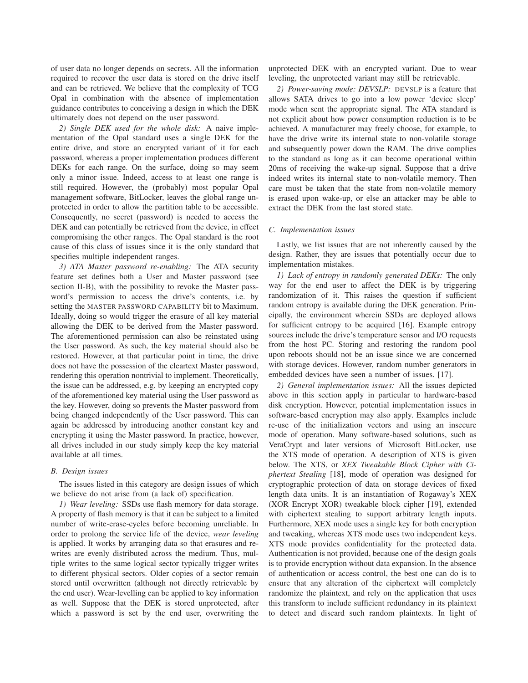of user data no longer depends on secrets. All the information required to recover the user data is stored on the drive itself and can be retrieved. We believe that the complexity of TCG Opal in combination with the absence of implementation guidance contributes to conceiving a design in which the DEK ultimately does not depend on the user password.

*2) Single DEK used for the whole disk:* A naive implementation of the Opal standard uses a single DEK for the entire drive, and store an encrypted variant of it for each password, whereas a proper implementation produces different DEKs for each range. On the surface, doing so may seem only a minor issue. Indeed, access to at least one range is still required. However, the (probably) most popular Opal management software, BitLocker, leaves the global range unprotected in order to allow the partition table to be accessible. Consequently, no secret (password) is needed to access the DEK and can potentially be retrieved from the device, in effect compromising the other ranges. The Opal standard is the root cause of this class of issues since it is the only standard that specifies multiple independent ranges.

*3) ATA Master password re-enabling:* The ATA security feature set defines both a User and Master password (see section II-B), with the possibility to revoke the Master password's permission to access the drive's contents, i.e. by setting the MASTER PASSWORD CAPABILITY bit to Maximum. Ideally, doing so would trigger the erasure of all key material allowing the DEK to be derived from the Master password. The aforementioned permission can also be reinstated using the User password. As such, the key material should also be restored. However, at that particular point in time, the drive does not have the possession of the cleartext Master password, rendering this operation nontrivial to implement. Theoretically, the issue can be addressed, e.g. by keeping an encrypted copy of the aforementioned key material using the User password as the key. However, doing so prevents the Master password from being changed independently of the User password. This can again be addressed by introducing another constant key and encrypting it using the Master password. In practice, however, all drives included in our study simply keep the key material available at all times.

## *B. Design issues*

The issues listed in this category are design issues of which we believe do not arise from (a lack of) specification.

*1) Wear leveling:* SSDs use flash memory for data storage. A property of flash memory is that it can be subject to a limited number of write-erase-cycles before becoming unreliable. In order to prolong the service life of the device, *wear leveling* is applied. It works by arranging data so that erasures and rewrites are evenly distributed across the medium. Thus, multiple writes to the same logical sector typically trigger writes to different physical sectors. Older copies of a sector remain stored until overwritten (although not directly retrievable by the end user). Wear-levelling can be applied to key information as well. Suppose that the DEK is stored unprotected, after which a password is set by the end user, overwriting the unprotected DEK with an encrypted variant. Due to wear leveling, the unprotected variant may still be retrievable.

*2) Power-saving mode: DEVSLP:* DEVSLP is a feature that allows SATA drives to go into a low power 'device sleep' mode when sent the appropriate signal. The ATA standard is not explicit about how power consumption reduction is to be achieved. A manufacturer may freely choose, for example, to have the drive write its internal state to non-volatile storage and subsequently power down the RAM. The drive complies to the standard as long as it can become operational within 20ms of receiving the wake-up signal. Suppose that a drive indeed writes its internal state to non-volatile memory. Then care must be taken that the state from non-volatile memory is erased upon wake-up, or else an attacker may be able to extract the DEK from the last stored state.

## *C. Implementation issues*

Lastly, we list issues that are not inherently caused by the design. Rather, they are issues that potentially occur due to implementation mistakes.

*1) Lack of entropy in randomly generated DEKs:* The only way for the end user to affect the DEK is by triggering randomization of it. This raises the question if sufficient random entropy is available during the DEK generation. Principally, the environment wherein SSDs are deployed allows for sufficient entropy to be acquired [16]. Example entropy sources include the drive's temperature sensor and I/O requests from the host PC. Storing and restoring the random pool upon reboots should not be an issue since we are concerned with storage devices. However, random number generators in embedded devices have seen a number of issues. [17].

*2) General implementation issues:* All the issues depicted above in this section apply in particular to hardware-based disk encryption. However, potential implementation issues in software-based encryption may also apply. Examples include re-use of the initialization vectors and using an insecure mode of operation. Many software-based solutions, such as VeraCrypt and later versions of Microsoft BitLocker, use the XTS mode of operation. A description of XTS is given below. The XTS, or *XEX Tweakable Block Cipher with Ciphertext Stealing* [18], mode of operation was designed for cryptographic protection of data on storage devices of fixed length data units. It is an instantiation of Rogaway's XEX (XOR Encrypt XOR) tweakable block cipher [19], extended with ciphertext stealing to support arbitrary length inputs. Furthermore, XEX mode uses a single key for both encryption and tweaking, whereas XTS mode uses two independent keys. XTS mode provides confidentiality for the protected data. Authentication is not provided, because one of the design goals is to provide encryption without data expansion. In the absence of authentication or access control, the best one can do is to ensure that any alteration of the ciphertext will completely randomize the plaintext, and rely on the application that uses this transform to include sufficient redundancy in its plaintext to detect and discard such random plaintexts. In light of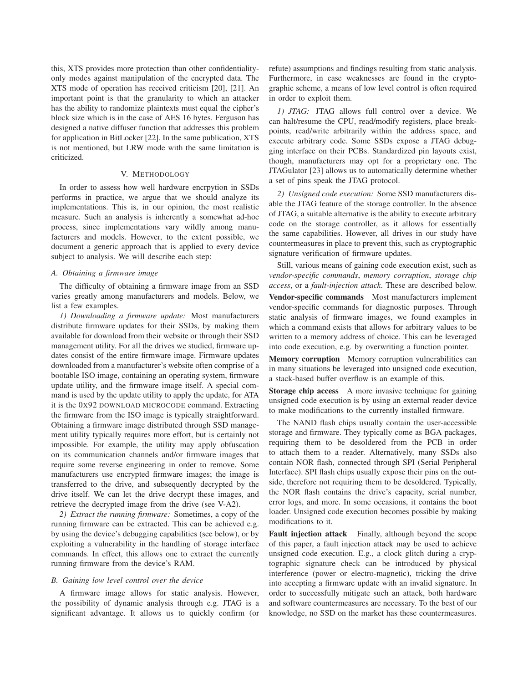this, XTS provides more protection than other confidentialityonly modes against manipulation of the encrypted data. The XTS mode of operation has received criticism [20], [21]. An important point is that the granularity to which an attacker has the ability to randomize plaintexts must equal the cipher's block size which is in the case of AES 16 bytes. Ferguson has designed a native diffuser function that addresses this problem for application in BitLocker [22]. In the same publication, XTS is not mentioned, but LRW mode with the same limitation is criticized.

# V. METHODOLOGY

In order to assess how well hardware encrpytion in SSDs performs in practice, we argue that we should analyze its implementations. This is, in our opinion, the most realistic measure. Such an analysis is inherently a somewhat ad-hoc process, since implementations vary wildly among manufacturers and models. However, to the extent possible, we document a generic approach that is applied to every device subject to analysis. We will describe each step:

## *A. Obtaining a firmware image*

The difficulty of obtaining a firmware image from an SSD varies greatly among manufacturers and models. Below, we list a few examples.

*1) Downloading a firmware update:* Most manufacturers distribute firmware updates for their SSDs, by making them available for download from their website or through their SSD management utility. For all the drives we studied, firmware updates consist of the entire firmware image. Firmware updates downloaded from a manufacturer's website often comprise of a bootable ISO image, containing an operating system, firmware update utility, and the firmware image itself. A special command is used by the update utility to apply the update, for ATA it is the 0X92 DOWNLOAD MICROCODE command. Extracting the firmware from the ISO image is typically straightforward. Obtaining a firmware image distributed through SSD management utility typically requires more effort, but is certainly not impossible. For example, the utility may apply obfuscation on its communication channels and/or firmware images that require some reverse engineering in order to remove. Some manufacturers use encrypted firmware images; the image is transferred to the drive, and subsequently decrypted by the drive itself. We can let the drive decrypt these images, and retrieve the decrypted image from the drive (see V-A2).

*2) Extract the running firmware:* Sometimes, a copy of the running firmware can be extracted. This can be achieved e.g. by using the device's debugging capabilities (see below), or by exploiting a vulnerability in the handling of storage interface commands. In effect, this allows one to extract the currently running firmware from the device's RAM.

## *B. Gaining low level control over the device*

A firmware image allows for static analysis. However, the possibility of dynamic analysis through e.g. JTAG is a significant advantage. It allows us to quickly confirm (or refute) assumptions and findings resulting from static analysis. Furthermore, in case weaknesses are found in the cryptographic scheme, a means of low level control is often required in order to exploit them.

*1) JTAG:* JTAG allows full control over a device. We can halt/resume the CPU, read/modify registers, place breakpoints, read/write arbitrarily within the address space, and execute arbitrary code. Some SSDs expose a JTAG debugging interface on their PCBs. Standardized pin layouts exist, though, manufacturers may opt for a proprietary one. The JTAGulator [23] allows us to automatically determine whether a set of pins speak the JTAG protocol.

*2) Unsigned code execution:* Some SSD manufacturers disable the JTAG feature of the storage controller. In the absence of JTAG, a suitable alternative is the ability to execute arbitrary code on the storage controller, as it allows for essentially the same capabilities. However, all drives in our study have countermeasures in place to prevent this, such as cryptographic signature verification of firmware updates.

Still, various means of gaining code execution exist, such as *vendor-specific commands*, *memory corruption*, *storage chip access*, or a *fault-injection attack*. These are described below.

Vendor-specific commands Most manufacturers implement vendor-specific commands for diagnostic purposes. Through static analysis of firmware images, we found examples in which a command exists that allows for arbitrary values to be written to a memory address of choice. This can be leveraged into code execution, e.g. by overwriting a function pointer.

Memory corruption Memory corruption vulnerabilities can in many situations be leveraged into unsigned code execution, a stack-based buffer overflow is an example of this.

Storage chip access A more invasive technique for gaining unsigned code execution is by using an external reader device to make modifications to the currently installed firmware.

The NAND flash chips usually contain the user-accessible storage and firmware. They typically come as BGA packages, requiring them to be desoldered from the PCB in order to attach them to a reader. Alternatively, many SSDs also contain NOR flash, connected through SPI (Serial Peripheral Interface). SPI flash chips usually expose their pins on the outside, therefore not requiring them to be desoldered. Typically, the NOR flash contains the drive's capacity, serial number, error logs, and more. In some occasions, it contains the boot loader. Unsigned code execution becomes possible by making modifications to it.

Fault injection attack Finally, although beyond the scope of this paper, a fault injection attack may be used to achieve unsigned code execution. E.g., a clock glitch during a cryptographic signature check can be introduced by physical interference (power or electro-magnetic), tricking the drive into accepting a firmware update with an invalid signature. In order to successfully mitigate such an attack, both hardware and software countermeasures are necessary. To the best of our knowledge, no SSD on the market has these countermeasures.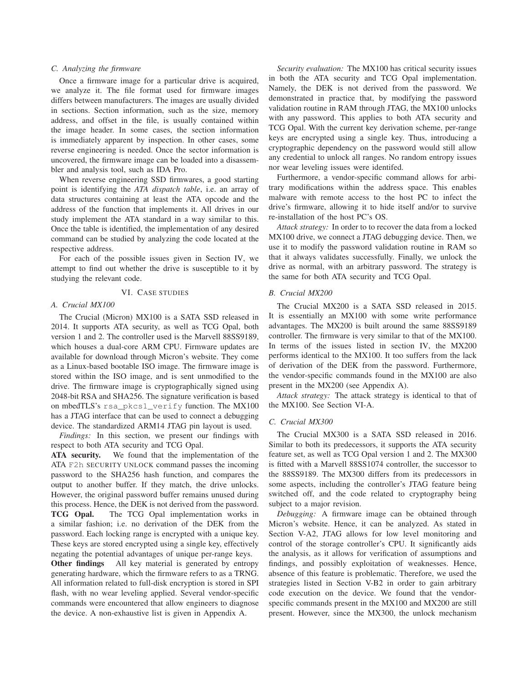# *C. Analyzing the firmware*

Once a firmware image for a particular drive is acquired, we analyze it. The file format used for firmware images differs between manufacturers. The images are usually divided in sections. Section information, such as the size, memory address, and offset in the file, is usually contained within the image header. In some cases, the section information is immediately apparent by inspection. In other cases, some reverse engineering is needed. Once the sector information is uncovered, the firmware image can be loaded into a disassembler and analysis tool, such as IDA Pro.

When reverse engineering SSD firmwares, a good starting point is identifying the *ATA dispatch table*, i.e. an array of data structures containing at least the ATA opcode and the address of the function that implements it. All drives in our study implement the ATA standard in a way similar to this. Once the table is identified, the implementation of any desired command can be studied by analyzing the code located at the respective address.

For each of the possible issues given in Section IV, we attempt to find out whether the drive is susceptible to it by studying the relevant code.

# VI. CASE STUDIES

## *A. Crucial MX100*

The Crucial (Micron) MX100 is a SATA SSD released in 2014. It supports ATA security, as well as TCG Opal, both version 1 and 2. The controller used is the Marvell 88SS9189, which houses a dual-core ARM CPU. Firmware updates are available for download through Micron's website. They come as a Linux-based bootable ISO image. The firmware image is stored within the ISO image, and is sent unmodified to the drive. The firmware image is cryptographically signed using 2048-bit RSA and SHA256. The signature verification is based on mbedTLS's rsa\_pkcs1\_verify function. The MX100 has a JTAG interface that can be used to connect a debugging device. The standardized ARM14 JTAG pin layout is used.

*Findings:* In this section, we present our findings with respect to both ATA security and TCG Opal.

ATA security. We found that the implementation of the ATA F2h SECURITY UNLOCK command passes the incoming password to the SHA256 hash function, and compares the output to another buffer. If they match, the drive unlocks. However, the original password buffer remains unused during this process. Hence, the DEK is not derived from the password. TCG Opal. The TCG Opal implementation works in a similar fashion; i.e. no derivation of the DEK from the password. Each locking range is encrypted with a unique key. These keys are stored encrypted using a single key, effectively negating the potential advantages of unique per-range keys.

Other findings All key material is generated by entropy generating hardware, which the firmware refers to as a TRNG. All information related to full-disk encryption is stored in SPI flash, with no wear leveling applied. Several vendor-specific commands were encountered that allow engineers to diagnose the device. A non-exhaustive list is given in Appendix A.

*Security evaluation:* The MX100 has critical security issues in both the ATA security and TCG Opal implementation. Namely, the DEK is not derived from the password. We demonstrated in practice that, by modifying the password validation routine in RAM through JTAG, the MX100 unlocks with any password. This applies to both ATA security and TCG Opal. With the current key derivation scheme, per-range keys are encrypted using a single key. Thus, introducing a cryptographic dependency on the password would still allow any credential to unlock all ranges. No random entropy issues nor wear leveling issues were identifed.

Furthermore, a vendor-specific command allows for arbitrary modifications within the address space. This enables malware with remote access to the host PC to infect the drive's firmware, allowing it to hide itself and/or to survive re-installation of the host PC's OS.

*Attack strategy:* In order to to recover the data from a locked MX100 drive, we connect a JTAG debugging device. Then, we use it to modify the password validation routine in RAM so that it always validates successfully. Finally, we unlock the drive as normal, with an arbitrary password. The strategy is the same for both ATA security and TCG Opal.

# *B. Crucial MX200*

The Crucial MX200 is a SATA SSD released in 2015. It is essentially an MX100 with some write performance advantages. The MX200 is built around the same 88SS9189 controller. The firmware is very similar to that of the MX100. In terms of the issues listed in section IV, the MX200 performs identical to the MX100. It too suffers from the lack of derivation of the DEK from the password. Furthermore, the vendor-specific commands found in the MX100 are also present in the MX200 (see Appendix A).

*Attack strategy:* The attack strategy is identical to that of the MX100. See Section VI-A.

## *C. Crucial MX300*

The Crucial MX300 is a SATA SSD released in 2016. Similar to both its predecessors, it supports the ATA security feature set, as well as TCG Opal version 1 and 2. The MX300 is fitted with a Marvell 88SS1074 controller, the successor to the 88SS9189. The MX300 differs from its predecessors in some aspects, including the controller's JTAG feature being switched off, and the code related to cryptography being subject to a major revision.

*Debugging:* A firmware image can be obtained through Micron's website. Hence, it can be analyzed. As stated in Section V-A2, JTAG allows for low level monitoring and control of the storage controller's CPU. It significantly aids the analysis, as it allows for verification of assumptions and findings, and possibly exploitation of weaknesses. Hence, absence of this feature is problematic. Therefore, we used the strategies listed in Section V-B2 in order to gain arbitrary code execution on the device. We found that the vendorspecific commands present in the MX100 and MX200 are still present. However, since the MX300, the unlock mechanism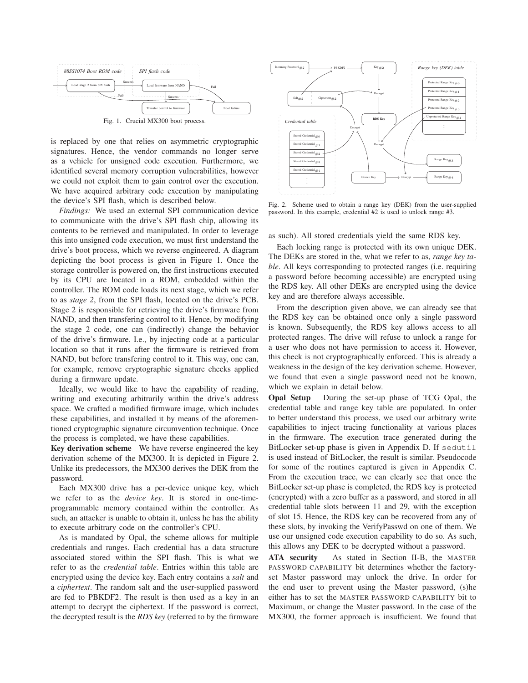

is replaced by one that relies on asymmetric cryptographic signatures. Hence, the vendor commands no longer serve as a vehicle for unsigned code execution. Furthermore, we identified several memory corruption vulnerabilities, however we could not exploit them to gain control over the execution. We have acquired arbitrary code execution by manipulating the device's SPI flash, which is described below.

*Findings:* We used an external SPI communication device to communicate with the drive's SPI flash chip, allowing its contents to be retrieved and manipulated. In order to leverage this into unsigned code execution, we must first understand the drive's boot process, which we reverse engineered. A diagram depicting the boot process is given in Figure 1. Once the storage controller is powered on, the first instructions executed by its CPU are located in a ROM, embedded within the controller. The ROM code loads its next stage, which we refer to as *stage 2*, from the SPI flash, located on the drive's PCB. Stage 2 is responsible for retrieving the drive's firmware from NAND, and then transfering control to it. Hence, by modifying the stage 2 code, one can (indirectly) change the behavior of the drive's firmware. I.e., by injecting code at a particular location so that it runs after the firmware is retrieved from NAND, but before transfering control to it. This way, one can, for example, remove cryptographic signature checks applied during a firmware update.

Ideally, we would like to have the capability of reading, writing and executing arbitrarily within the drive's address space. We crafted a modified firmware image, which includes these capabilities, and installed it by means of the aforementioned cryptographic signature circumvention technique. Once the process is completed, we have these capabilities.

Key derivation scheme We have reverse engineered the key derivation scheme of the MX300. It is depicted in Figure 2. Unlike its predecessors, the MX300 derives the DEK from the password.

Each MX300 drive has a per-device unique key, which we refer to as the *device key*. It is stored in one-timeprogrammable memory contained within the controller. As such, an attacker is unable to obtain it, unless he has the ability to execute arbitrary code on the controller's CPU.

As is mandated by Opal, the scheme allows for multiple credentials and ranges. Each credential has a data structure associated stored within the SPI flash. This is what we refer to as the *credential table*. Entries within this table are encrypted using the device key. Each entry contains a *salt* and a *ciphertext*. The random salt and the user-supplied password are fed to PBKDF2. The result is then used as a key in an attempt to decrypt the ciphertext. If the password is correct, the decrypted result is the *RDS key* (referred to by the firmware



Fig. 2. Scheme used to obtain a range key (DEK) from the user-supplied password. In this example, credential #2 is used to unlock range #3.

as such). All stored credentials yield the same RDS key.

Each locking range is protected with its own unique DEK. The DEKs are stored in the, what we refer to as, *range key table*. All keys corresponding to protected ranges (i.e. requiring a password before becoming accessible) are encrypted using the RDS key. All other DEKs are encrypted using the device key and are therefore always accessible.

From the description given above, we can already see that the RDS key can be obtained once only a single password is known. Subsequently, the RDS key allows access to all protected ranges. The drive will refuse to unlock a range for a user who does not have permission to access it. However, this check is not cryptographically enforced. This is already a weakness in the design of the key derivation scheme. However, we found that even a single password need not be known, which we explain in detail below.

Opal Setup During the set-up phase of TCG Opal, the credential table and range key table are populated. In order to better understand this process, we used our arbitrary write capabilities to inject tracing functionality at various places in the firmware. The execution trace generated during the BitLocker set-up phase is given in Appendix D. If sedutil is used instead of BitLocker, the result is similar. Pseudocode for some of the routines captured is given in Appendix C. From the execution trace, we can clearly see that once the BitLocker set-up phase is completed, the RDS key is protected (encrypted) with a zero buffer as a password, and stored in all credential table slots between 11 and 29, with the exception of slot 15. Hence, the RDS key can be recovered from any of these slots, by invoking the VerifyPasswd on one of them. We use our unsigned code execution capability to do so. As such, this allows any DEK to be decrypted without a password.

ATA security As stated in Section II-B, the MASTER PASSWORD CAPABILITY bit determines whether the factoryset Master password may unlock the drive. In order for the end user to prevent using the Master password, (s)he either has to set the MASTER PASSWORD CAPABILITY bit to Maximum, or change the Master password. In the case of the MX300, the former approach is insufficient. We found that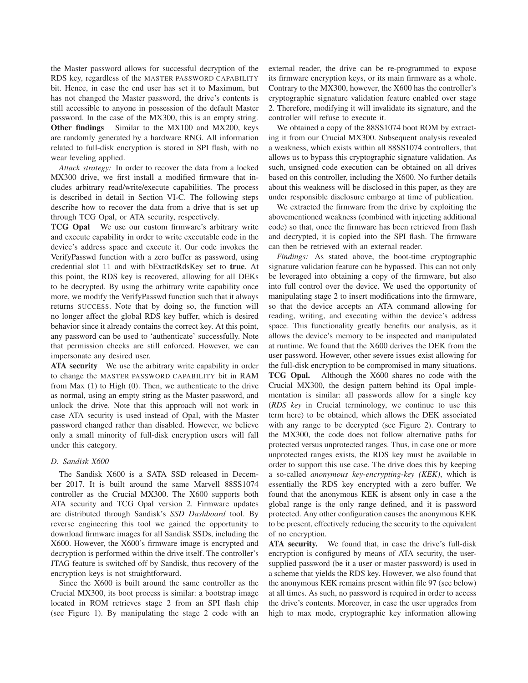the Master password allows for successful decryption of the RDS key, regardless of the MASTER PASSWORD CAPABILITY bit. Hence, in case the end user has set it to Maximum, but has not changed the Master password, the drive's contents is still accessible to anyone in possession of the default Master password. In the case of the MX300, this is an empty string. Other findings Similar to the MX100 and MX200, keys are randomly generated by a hardware RNG. All information related to full-disk encryption is stored in SPI flash, with no wear leveling applied.

*Attack strategy:* In order to recover the data from a locked MX300 drive, we first install a modified firmware that includes arbitrary read/write/execute capabilities. The process is described in detail in Section VI-C. The following steps describe how to recover the data from a drive that is set up through TCG Opal, or ATA security, respectively.

TCG Opal We use our custom firmware's arbitrary write and execute capability in order to write executable code in the device's address space and execute it. Our code invokes the VerifyPasswd function with a zero buffer as password, using credential slot 11 and with bExtractRdsKey set to true. At this point, the RDS key is recovered, allowing for all DEKs to be decrypted. By using the arbitrary write capability once more, we modify the VerifyPasswd function such that it always returns SUCCESS. Note that by doing so, the function will no longer affect the global RDS key buffer, which is desired behavior since it already contains the correct key. At this point, any password can be used to 'authenticate' successfully. Note that permission checks are still enforced. However, we can impersonate any desired user.

ATA security We use the arbitrary write capability in order to change the MASTER PASSWORD CAPABILITY bit in RAM from Max (1) to High (0). Then, we authenticate to the drive as normal, using an empty string as the Master password, and unlock the drive. Note that this approach will not work in case ATA security is used instead of Opal, with the Master password changed rather than disabled. However, we believe only a small minority of full-disk encryption users will fall under this category.

## *D. Sandisk X600*

The Sandisk X600 is a SATA SSD released in December 2017. It is built around the same Marvell 88SS1074 controller as the Crucial MX300. The X600 supports both ATA security and TCG Opal version 2. Firmware updates are distributed through Sandisk's *SSD Dashboard* tool. By reverse engineering this tool we gained the opportunity to download firmware images for all Sandisk SSDs, including the X600. However, the X600's firmware image is encrypted and decryption is performed within the drive itself. The controller's JTAG feature is switched off by Sandisk, thus recovery of the encryption keys is not straightforward.

Since the X600 is built around the same controller as the Crucial MX300, its boot process is similar: a bootstrap image located in ROM retrieves stage 2 from an SPI flash chip (see Figure 1). By manipulating the stage 2 code with an external reader, the drive can be re-programmed to expose its firmware encryption keys, or its main firmware as a whole. Contrary to the MX300, however, the X600 has the controller's cryptographic signature validation feature enabled over stage 2. Therefore, modifying it will invalidate its signature, and the controller will refuse to execute it.

We obtained a copy of the 88SS1074 boot ROM by extracting it from our Crucial MX300. Subsequent analysis revealed a weakness, which exists within all 88SS1074 controllers, that allows us to bypass this cryptographic signature validation. As such, unsigned code execution can be obtained on all drives based on this controller, including the X600. No further details about this weakness will be disclosed in this paper, as they are under responsible disclosure embargo at time of publication.

We extracted the firmware from the drive by exploiting the abovementioned weakness (combined with injecting additional code) so that, once the firmware has been retrieved from flash and decrypted, it is copied into the SPI flash. The firmware can then be retrieved with an external reader.

*Findings:* As stated above, the boot-time cryptographic signature validation feature can be bypassed. This can not only be leveraged into obtaining a copy of the firmware, but also into full control over the device. We used the opportunity of manipulating stage 2 to insert modifications into the firmware, so that the device accepts an ATA command allowing for reading, writing, and executing within the device's address space. This functionality greatly benefits our analysis, as it allows the device's memory to be inspected and manipulated at runtime. We found that the X600 derives the DEK from the user password. However, other severe issues exist allowing for the full-disk encryption to be compromised in many situations. TCG Opal. Although the X600 shares no code with the Crucial MX300, the design pattern behind its Opal implementation is similar: all passwords allow for a single key (*RDS key* in Crucial terminology, we continue to use this term here) to be obtained, which allows the DEK associated with any range to be decrypted (see Figure 2). Contrary to the MX300, the code does not follow alternative paths for protected versus unprotected ranges. Thus, in case one or more unprotected ranges exists, the RDS key must be available in order to support this use case. The drive does this by keeping a so-called *anonymous key-encrypting-key (KEK)*, which is essentially the RDS key encrypted with a zero buffer. We found that the anonymous KEK is absent only in case a the global range is the only range defined, and it is password protected. Any other configuration causes the anonymous KEK to be present, effectively reducing the security to the equivalent of no encryption.

ATA security. We found that, in case the drive's full-disk encryption is configured by means of ATA security, the usersupplied password (be it a user or master password) is used in a scheme that yields the RDS key. However, we also found that the anonymous KEK remains present within file 97 (see below) at all times. As such, no password is required in order to access the drive's contents. Moreover, in case the user upgrades from high to max mode, cryptographic key information allowing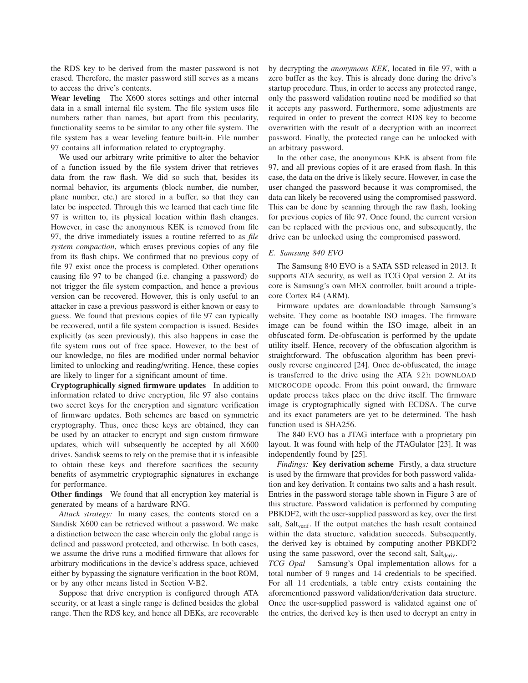the RDS key to be derived from the master password is not erased. Therefore, the master password still serves as a means to access the drive's contents.

Wear leveling The X600 stores settings and other internal data in a small internal file system. The file system uses file numbers rather than names, but apart from this pecularity, functionality seems to be similar to any other file system. The file system has a wear leveling feature built-in. File number 97 contains all information related to cryptography.

We used our arbitrary write primitive to alter the behavior of a function issued by the file system driver that retrieves data from the raw flash. We did so such that, besides its normal behavior, its arguments (block number, die number, plane number, etc.) are stored in a buffer, so that they can later be inspected. Through this we learned that each time file 97 is written to, its physical location within flash changes. However, in case the anonymous KEK is removed from file 97, the drive immediately issues a routine referred to as *file system compaction*, which erases previous copies of any file from its flash chips. We confirmed that no previous copy of file 97 exist once the process is completed. Other operations causing file 97 to be changed (i.e. changing a password) do not trigger the file system compaction, and hence a previous version can be recovered. However, this is only useful to an attacker in case a previous password is either known or easy to guess. We found that previous copies of file 97 can typically be recovered, until a file system compaction is issued. Besides explicitly (as seen previously), this also happens in case the file system runs out of free space. However, to the best of our knowledge, no files are modified under normal behavior limited to unlocking and reading/writing. Hence, these copies are likely to linger for a significant amount of time.

Cryptographically signed firmware updates In addition to information related to drive encryption, file 97 also contains two secret keys for the encryption and signature verification of firmware updates. Both schemes are based on symmetric cryptography. Thus, once these keys are obtained, they can be used by an attacker to encrypt and sign custom firmware updates, which will subsequently be accepted by all X600 drives. Sandisk seems to rely on the premise that it is infeasible to obtain these keys and therefore sacrifices the security benefits of asymmetric cryptographic signatures in exchange for performance.

Other findings We found that all encryption key material is generated by means of a hardware RNG.

*Attack strategy:* In many cases, the contents stored on a Sandisk X600 can be retrieved without a password. We make a distinction between the case wherein only the global range is defined and password protected, and otherwise. In both cases, we assume the drive runs a modified firmware that allows for arbitrary modifications in the device's address space, achieved either by bypassing the signature verification in the boot ROM, or by any other means listed in Section V-B2.

Suppose that drive encryption is configured through ATA security, or at least a single range is defined besides the global range. Then the RDS key, and hence all DEKs, are recoverable by decrypting the *anonymous KEK*, located in file 97, with a zero buffer as the key. This is already done during the drive's startup procedure. Thus, in order to access any protected range, only the password validation routine need be modified so that it accepts any password. Furthermore, some adjustments are required in order to prevent the correct RDS key to become overwritten with the result of a decryption with an incorrect password. Finally, the protected range can be unlocked with an arbitrary password.

In the other case, the anonymous KEK is absent from file 97, and all previous copies of it are erased from flash. In this case, the data on the drive is likely secure. However, in case the user changed the password because it was compromised, the data can likely be recovered using the compromised password. This can be done by scanning through the raw flash, looking for previous copies of file 97. Once found, the current version can be replaced with the previous one, and subsequently, the drive can be unlocked using the compromised password.

# *E. Samsung 840 EVO*

The Samsung 840 EVO is a SATA SSD released in 2013. It supports ATA security, as well as TCG Opal version 2. At its core is Samsung's own MEX controller, built around a triplecore Cortex R4 (ARM).

Firmware updates are downloadable through Samsung's website. They come as bootable ISO images. The firmware image can be found within the ISO image, albeit in an obfuscated form. De-obfuscation is performed by the update utility itself. Hence, recovery of the obfuscation algorithm is straightforward. The obfuscation algorithm has been previously reverse engineered [24]. Once de-obfuscated, the image is transferred to the drive using the ATA 92h DOWNLOAD MICROCODE opcode. From this point onward, the firmware update process takes place on the drive itself. The firmware image is cryptographically signed with ECDSA. The curve and its exact parameters are yet to be determined. The hash function used is SHA256.

The 840 EVO has a JTAG interface with a proprietary pin layout. It was found with help of the JTAGulator [23]. It was independently found by [25].

*Findings:* Key derivation scheme Firstly, a data structure is used by the firmware that provides for both password validation and key derivation. It contains two salts and a hash result. Entries in the password storage table shown in Figure 3 are of this structure. Password validation is performed by computing PBKDF2, with the user-supplied password as key, over the first salt, Salt<sub>verif</sub>. If the output matches the hash result contained within the data structure, validation succeeds. Subsequently, the derived key is obtained by computing another PBKDF2 using the same password, over the second salt, Salt<sub>deriv</sub>.

*TCG Opal* Samsung's Opal implementation allows for a total number of 9 ranges and 14 credentials to be specified. For all 14 credentials, a table entry exists containing the aforementioned password validation/derivation data structure. Once the user-supplied password is validated against one of the entries, the derived key is then used to decrypt an entry in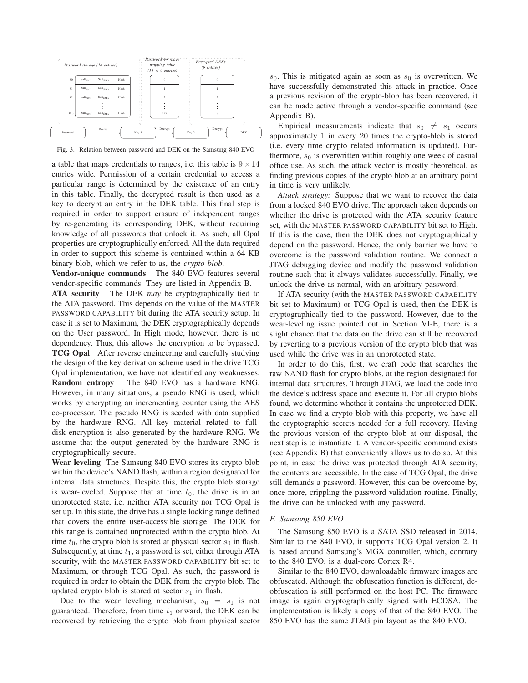

Fig. 3. Relation between password and DEK on the Samsung 840 EVO

a table that maps credentials to ranges, i.e. this table is  $9 \times 14$ entries wide. Permission of a certain credential to access a particular range is determined by the existence of an entry in this table. Finally, the decrypted result is then used as a key to decrypt an entry in the DEK table. This final step is required in order to support erasure of independent ranges by re-generating its corresponding DEK, without requiring knowledge of all passwords that unlock it. As such, all Opal properties are cryptographically enforced. All the data required in order to support this scheme is contained within a 64 KB binary blob, which we refer to as, the *crypto blob*.

Vendor-unique commands The 840 EVO features several vendor-specific commands. They are listed in Appendix B.

ATA security The DEK *may* be cryptographically tied to the ATA password. This depends on the value of the MASTER PASSWORD CAPABILITY bit during the ATA security setup. In case it is set to Maximum, the DEK cryptographically depends on the User password. In High mode, however, there is no dependency. Thus, this allows the encryption to be bypassed. TCG Opal After reverse engineering and carefully studying the design of the key derivation scheme used in the drive TCG Opal implementation, we have not identified any weaknesses. Random entropy The 840 EVO has a hardware RNG. However, in many situations, a pseudo RNG is used, which works by encrypting an incrementing counter using the AES co-processor. The pseudo RNG is seeded with data supplied by the hardware RNG. All key material related to fulldisk encryption is also generated by the hardware RNG. We assume that the output generated by the hardware RNG is cryptographically secure.

Wear leveling The Samsung 840 EVO stores its crypto blob within the device's NAND flash, within a region designated for internal data structures. Despite this, the crypto blob storage is wear-leveled. Suppose that at time  $t_0$ , the drive is in an unprotected state, i.e. neither ATA security nor TCG Opal is set up. In this state, the drive has a single locking range defined that covers the entire user-accessible storage. The DEK for this range is contained unprotected within the crypto blob. At time  $t_0$ , the crypto blob is stored at physical sector  $s_0$  in flash. Subsequently, at time  $t_1$ , a password is set, either through ATA security, with the MASTER PASSWORD CAPABILITY bit set to Maximum, or through TCG Opal. As such, the password is required in order to obtain the DEK from the crypto blob. The updated crypto blob is stored at sector  $s_1$  in flash.

Due to the wear leveling mechanism,  $s_0 = s_1$  is not guaranteed. Therefore, from time  $t_1$  onward, the DEK can be recovered by retrieving the crypto blob from physical sector

 $s_0$ . This is mitigated again as soon as  $s_0$  is overwritten. We have successfully demonstrated this attack in practice. Once a previous revision of the crypto-blob has been recovered, it can be made active through a vendor-specific command (see Appendix B).

Empirical measurements indicate that  $s_0 \neq s_1$  occurs approximately 1 in every 20 times the crypto-blob is stored (i.e. every time crypto related information is updated). Furthermore,  $s_0$  is overwritten within roughly one week of casual office use. As such, the attack vector is mostly theoretical, as finding previous copies of the crypto blob at an arbitrary point in time is very unlikely.

*Attack strategy:* Suppose that we want to recover the data from a locked 840 EVO drive. The approach taken depends on whether the drive is protected with the ATA security feature set, with the MASTER PASSWORD CAPABILITY bit set to High. If this is the case, then the DEK does not cryptographically depend on the password. Hence, the only barrier we have to overcome is the password validation routine. We connect a JTAG debugging device and modify the password validation routine such that it always validates successfully. Finally, we unlock the drive as normal, with an arbitrary password.

If ATA security (with the MASTER PASSWORD CAPABILITY bit set to Maximum) or TCG Opal is used, then the DEK is cryptographically tied to the password. However, due to the wear-leveling issue pointed out in Section VI-E, there is a slight chance that the data on the drive can still be recovered by reverting to a previous version of the crypto blob that was used while the drive was in an unprotected state.

In order to do this, first, we craft code that searches the raw NAND flash for crypto blobs, at the region designated for internal data structures. Through JTAG, we load the code into the device's address space and execute it. For all crypto blobs found, we determine whether it contains the unprotected DEK. In case we find a crypto blob with this property, we have all the cryptographic secrets needed for a full recovery. Having the previous version of the crypto blob at our disposal, the next step is to instantiate it. A vendor-specific command exists (see Appendix B) that conveniently allows us to do so. At this point, in case the drive was protected through ATA security, the contents are accessible. In the case of TCG Opal, the drive still demands a password. However, this can be overcome by, once more, crippling the password validation routine. Finally, the drive can be unlocked with any password.

#### *F. Samsung 850 EVO*

The Samsung 850 EVO is a SATA SSD released in 2014. Similar to the 840 EVO, it supports TCG Opal version 2. It is based around Samsung's MGX controller, which, contrary to the 840 EVO, is a dual-core Cortex R4.

Similar to the 840 EVO, downloadable firmware images are obfuscated. Although the obfuscation function is different, deobfuscation is still performed on the host PC. The firmware image is again cryptographically signed with ECDSA. The implementation is likely a copy of that of the 840 EVO. The 850 EVO has the same JTAG pin layout as the 840 EVO.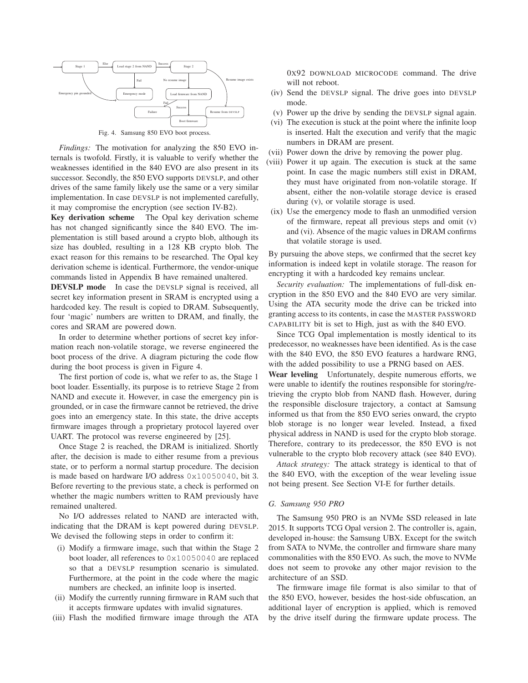

Fig. 4. Samsung 850 EVO boot process.

*Findings:* The motivation for analyzing the 850 EVO internals is twofold. Firstly, it is valuable to verify whether the weaknesses identified in the 840 EVO are also present in its successor. Secondly, the 850 EVO supports DEVSLP, and other drives of the same family likely use the same or a very similar implementation. In case DEVSLP is not implemented carefully, it may compromise the encryption (see section IV-B2).

Key derivation scheme The Opal key derivation scheme has not changed significantly since the 840 EVO. The implementation is still based around a crypto blob, although its size has doubled, resulting in a 128 KB crypto blob. The exact reason for this remains to be researched. The Opal key derivation scheme is identical. Furthermore, the vendor-unique commands listed in Appendix B have remained unaltered.

DEVSLP mode In case the DEVSLP signal is received, all secret key information present in SRAM is encrypted using a hardcoded key. The result is copied to DRAM. Subsequently, four 'magic' numbers are written to DRAM, and finally, the cores and SRAM are powered down.

In order to determine whether portions of secret key information reach non-volatile storage, we reverse engineered the boot process of the drive. A diagram picturing the code flow during the boot process is given in Figure 4.

The first portion of code is, what we refer to as, the Stage 1 boot loader. Essentially, its purpose is to retrieve Stage 2 from NAND and execute it. However, in case the emergency pin is grounded, or in case the firmware cannot be retrieved, the drive goes into an emergency state. In this state, the drive accepts firmware images through a proprietary protocol layered over UART. The protocol was reverse engineered by [25].

Once Stage 2 is reached, the DRAM is initialized. Shortly after, the decision is made to either resume from a previous state, or to perform a normal startup procedure. The decision is made based on hardware I/O address 0x10050040, bit 3. Before reverting to the previous state, a check is performed on whether the magic numbers written to RAM previously have remained unaltered.

No I/O addresses related to NAND are interacted with, indicating that the DRAM is kept powered during DEVSLP. We devised the following steps in order to confirm it:

- (i) Modify a firmware image, such that within the Stage 2 boot loader, all references to 0x10050040 are replaced so that a DEVSLP resumption scenario is simulated. Furthermore, at the point in the code where the magic numbers are checked, an infinite loop is inserted.
- (ii) Modify the currently running firmware in RAM such that it accepts firmware updates with invalid signatures.
- (iii) Flash the modified firmware image through the ATA

0X92 DOWNLOAD MICROCODE command. The drive will not reboot.

- (iv) Send the DEVSLP signal. The drive goes into DEVSLP mode.
- (v) Power up the drive by sending the DEVSLP signal again.
- (vi) The execution is stuck at the point where the infinite loop is inserted. Halt the execution and verify that the magic numbers in DRAM are present.
- (vii) Power down the drive by removing the power plug.
- (viii) Power it up again. The execution is stuck at the same point. In case the magic numbers still exist in DRAM, they must have originated from non-volatile storage. If absent, either the non-volatile storage device is erased during (v), or volatile storage is used.
- (ix) Use the emergency mode to flash an unmodified version of the firmware, repeat all previous steps and omit (v) and (vi). Absence of the magic values in DRAM confirms that volatile storage is used.

By pursuing the above steps, we confirmed that the secret key information is indeed kept in volatile storage. The reason for encrypting it with a hardcoded key remains unclear.

*Security evaluation:* The implementations of full-disk encryption in the 850 EVO and the 840 EVO are very similar. Using the ATA security mode the drive can be tricked into granting access to its contents, in case the MASTER PASSWORD CAPABILITY bit is set to High, just as with the 840 EVO.

Since TCG Opal implementation is mostly identical to its predecessor, no weaknesses have been identified. As is the case with the 840 EVO, the 850 EVO features a hardware RNG, with the added possibility to use a PRNG based on AES.

Wear leveling Unfortunately, despite numerous efforts, we were unable to identify the routines responsible for storing/retrieving the crypto blob from NAND flash. However, during the responsible disclosure trajectory, a contact at Samsung informed us that from the 850 EVO series onward, the crypto blob storage is no longer wear leveled. Instead, a fixed physical address in NAND is used for the crypto blob storage. Therefore, contrary to its predecessor, the 850 EVO is not vulnerable to the crypto blob recovery attack (see 840 EVO).

*Attack strategy:* The attack strategy is identical to that of the 840 EVO, with the exception of the wear leveling issue not being present. See Section VI-E for further details.

## *G. Samsung 950 PRO*

The Samsung 950 PRO is an NVMe SSD released in late 2015. It supports TCG Opal version 2. The controller is, again, developed in-house: the Samsung UBX. Except for the switch from SATA to NVMe, the controller and firmware share many commonalities with the 850 EVO. As such, the move to NVMe does not seem to provoke any other major revision to the architecture of an SSD.

The firmware image file format is also similar to that of the 850 EVO, however, besides the host-side obfuscation, an additional layer of encryption is applied, which is removed by the drive itself during the firmware update process. The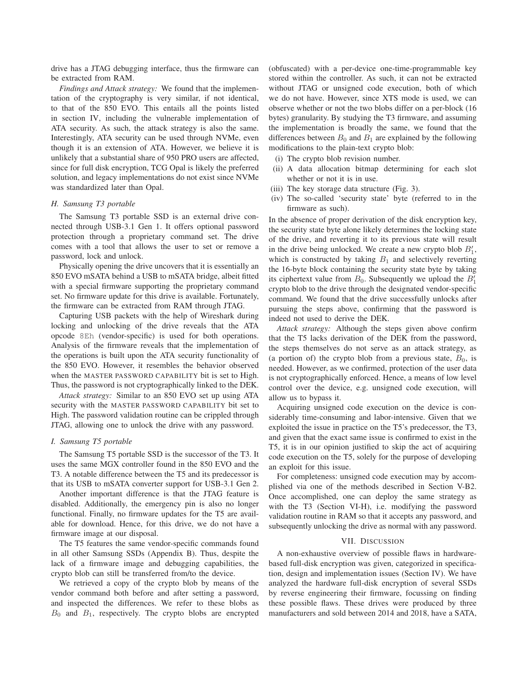drive has a JTAG debugging interface, thus the firmware can be extracted from RAM.

*Findings and Attack strategy:* We found that the implementation of the cryptography is very similar, if not identical, to that of the 850 EVO. This entails all the points listed in section IV, including the vulnerable implementation of ATA security. As such, the attack strategy is also the same. Interestingly, ATA security can be used through NVMe, even though it is an extension of ATA. However, we believe it is unlikely that a substantial share of 950 PRO users are affected, since for full disk encryption, TCG Opal is likely the preferred solution, and legacy implementations do not exist since NVMe was standardized later than Opal.

# *H. Samsung T3 portable*

The Samsung T3 portable SSD is an external drive connected through USB-3.1 Gen 1. It offers optional password protection through a proprietary command set. The drive comes with a tool that allows the user to set or remove a password, lock and unlock.

Physically opening the drive uncovers that it is essentially an 850 EVO mSATA behind a USB to mSATA bridge, albeit fitted with a special firmware supporting the proprietary command set. No firmware update for this drive is available. Fortunately, the firmware can be extracted from RAM through JTAG.

Capturing USB packets with the help of Wireshark during locking and unlocking of the drive reveals that the ATA opcode 8Eh (vendor-specific) is used for both operations. Analysis of the firmware reveals that the implementation of the operations is built upon the ATA security functionality of the 850 EVO. However, it resembles the behavior observed when the MASTER PASSWORD CAPABILITY bit is set to High. Thus, the password is not cryptographically linked to the DEK.

*Attack strategy:* Similar to an 850 EVO set up using ATA security with the MASTER PASSWORD CAPABILITY bit set to High. The password validation routine can be crippled through JTAG, allowing one to unlock the drive with any password.

# *I. Samsung T5 portable*

The Samsung T5 portable SSD is the successor of the T3. It uses the same MGX controller found in the 850 EVO and the T3. A notable difference between the T5 and its predecessor is that its USB to mSATA converter support for USB-3.1 Gen 2.

Another important difference is that the JTAG feature is disabled. Additionally, the emergency pin is also no longer functional. Finally, no firmware updates for the T5 are available for download. Hence, for this drive, we do not have a firmware image at our disposal.

The T5 features the same vendor-specific commands found in all other Samsung SSDs (Appendix B). Thus, despite the lack of a firmware image and debugging capabilities, the crypto blob can still be transferred from/to the device.

We retrieved a copy of the crypto blob by means of the vendor command both before and after setting a password, and inspected the differences. We refer to these blobs as  $B_0$  and  $B_1$ , respectively. The crypto blobs are encrypted (obfuscated) with a per-device one-time-programmable key stored within the controller. As such, it can not be extracted without JTAG or unsigned code execution, both of which we do not have. However, since XTS mode is used, we can observe whether or not the two blobs differ on a per-block (16 bytes) granularity. By studying the T3 firmware, and assuming the implementation is broadly the same, we found that the differences between  $B_0$  and  $B_1$  are explained by the following modifications to the plain-text crypto blob:

- (i) The crypto blob revision number.
- (ii) A data allocation bitmap determining for each slot whether or not it is in use.
- (iii) The key storage data structure (Fig. 3).
- (iv) The so-called 'security state' byte (referred to in the firmware as such).

In the absence of proper derivation of the disk encryption key, the security state byte alone likely determines the locking state of the drive, and reverting it to its previous state will result in the drive being unlocked. We create a new crypto blob  $B'_1$ , which is constructed by taking  $B_1$  and selectively reverting the 16-byte block containing the security state byte by taking its ciphertext value from  $B_0$ . Subsequently we upload the  $B'_1$ crypto blob to the drive through the designated vendor-specific command. We found that the drive successfully unlocks after pursuing the steps above, confirming that the password is indeed not used to derive the DEK.

*Attack strategy:* Although the steps given above confirm that the T5 lacks derivation of the DEK from the password, the steps themselves do not serve as an attack strategy, as (a portion of) the crypto blob from a previous state,  $B_0$ , is needed. However, as we confirmed, protection of the user data is not cryptographically enforced. Hence, a means of low level control over the device, e.g. unsigned code execution, will allow us to bypass it.

Acquiring unsigned code execution on the device is considerably time-consuming and labor-intensive. Given that we exploited the issue in practice on the T5's predecessor, the T3, and given that the exact same issue is confirmed to exist in the T5, it is in our opinion justified to skip the act of acquiring code execution on the T5, solely for the purpose of developing an exploit for this issue.

For completeness: unsigned code execution may by accomplished via one of the methods described in Section V-B2. Once accomplished, one can deploy the same strategy as with the T3 (Section VI-H), i.e. modifying the password validation routine in RAM so that it accepts any password, and subsequently unlocking the drive as normal with any password.

## VII. DISCUSSION

A non-exhaustive overview of possible flaws in hardwarebased full-disk encryption was given, categorized in specification, design and implementation issues (Section IV). We have analyzed the hardware full-disk encryption of several SSDs by reverse engineering their firmware, focussing on finding these possible flaws. These drives were produced by three manufacturers and sold between 2014 and 2018, have a SATA,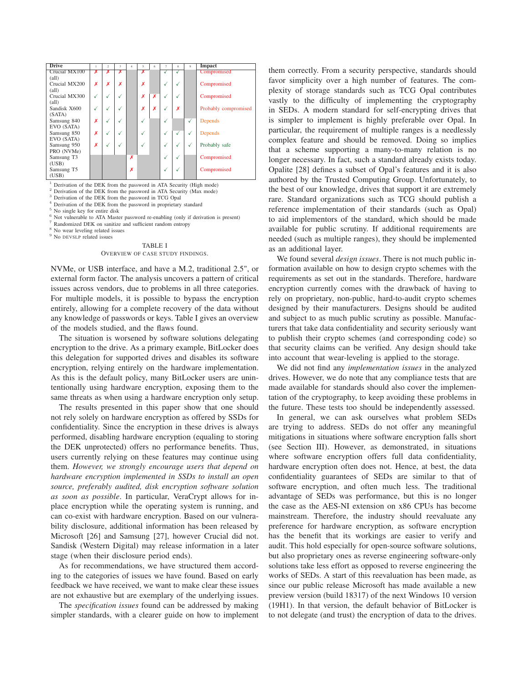| <b>Drive</b>   | 1 | $\overline{2}$ | 3                       | $\Delta$ | 5                       | 6 | $\overline{7}$ | $\mathbf{\hat{x}}$ | $\mathbf Q$ | Impact               |
|----------------|---|----------------|-------------------------|----------|-------------------------|---|----------------|--------------------|-------------|----------------------|
| Crucial MX100  | X | X              | $\overline{\textsf{x}}$ |          | $\overline{\mathsf{x}}$ |   |                | √                  |             | Compromised          |
| $\text{(all)}$ |   |                |                         |          |                         |   |                |                    |             |                      |
| Crucial MX200  | X | x              | X                       |          | X                       |   | √              | √                  |             | Compromised          |
| $\text{(all)}$ |   |                |                         |          |                         |   |                |                    |             |                      |
| Crucial MX300  | √ | $\checkmark$   | √                       |          | X                       | x | √              | √                  |             | Compromised          |
| $\text{(all)}$ |   |                |                         |          |                         |   |                |                    |             |                      |
| Sandisk X600   | √ | $\checkmark$   | ✓                       |          | X                       | x | $\checkmark$   | x                  |             | Probably compromised |
| (SATA)         |   |                |                         |          |                         |   |                |                    |             |                      |
| Samsung 840    | X | $\checkmark$   | √                       |          | ✓                       |   | √              |                    | ✓           | Depends              |
| EVO (SATA)     |   |                |                         |          |                         |   |                |                    |             |                      |
| Samsung 850    | X | $\checkmark$   | √                       |          | ✓                       |   | √              | √                  | ✓           | Depends              |
| EVO (SATA)     |   |                |                         |          |                         |   |                |                    |             |                      |
| Samsung 950    | X | √              | $\checkmark$            |          | $\checkmark$            |   | √              | √                  | ✓           | Probably safe        |
| PRO (NVMe)     |   |                |                         |          |                         |   |                |                    |             |                      |
| Samsung T3     |   |                |                         | Х        |                         |   | √              | √                  |             | Compromised          |
| (USB)          |   |                |                         |          |                         |   |                |                    |             |                      |
| Samsung T5     |   |                |                         | X        |                         |   | √              | √                  |             | Compromised          |
| (USB)          |   |                |                         |          |                         |   |                |                    |             |                      |

<sup>1</sup> Derivation of the DEK from the password in ATA Security (High mode)

Derivation of the DEK from the password in ATA Security (Max mode)

Derivation of the DEK from the password in TCG Opal Derivation of the DEK from the password in proprietary standard

<sup>5</sup> No single key for entire disk

Not vulnerable to ATA Master password re-enabling (only if derivation is present)

Randomized DEK on sanitize and sufficient random entropy

No wear leveling related issues

<sup>9</sup> No DEVSLP related issues

#### TABLE I OVERVIEW OF CASE STUDY FINDINGS.

NVMe, or USB interface, and have a M.2, traditional 2.5", or external form factor. The analysis uncovers a pattern of critical issues across vendors, due to problems in all three categories. For multiple models, it is possible to bypass the encryption entirely, allowing for a complete recovery of the data without any knowledge of passwords or keys. Table I gives an overview of the models studied, and the flaws found.

The situation is worsened by software solutions delegating encryption to the drive. As a primary example, BitLocker does this delegation for supported drives and disables its software encryption, relying entirely on the hardware implementation. As this is the default policy, many BitLocker users are unintentionally using hardware encryption, exposing them to the same threats as when using a hardware encryption only setup.

The results presented in this paper show that one should not rely solely on hardware encryption as offered by SSDs for confidentiality. Since the encryption in these drives is always performed, disabling hardware encryption (equaling to storing the DEK unprotected) offers no performance benefits. Thus, users currently relying on these features may continue using them. *However, we strongly encourage users that depend on hardware encryption implemented in SSDs to install an open source, preferably audited, disk encryption software solution as soon as possible*. In particular, VeraCrypt allows for inplace encryption while the operating system is running, and can co-exist with hardware encryption. Based on our vulnerability disclosure, additional information has been released by Microsoft [26] and Samsung [27], however Crucial did not. Sandisk (Western Digital) may release information in a later stage (when their disclosure period ends).

As for recommendations, we have structured them according to the categories of issues we have found. Based on early feedback we have received, we want to make clear these issues are not exhaustive but are exemplary of the underlying issues.

The *specification issues* found can be addressed by making simpler standards, with a clearer guide on how to implement them correctly. From a security perspective, standards should favor simplicity over a high number of features. The complexity of storage standards such as TCG Opal contributes vastly to the difficulty of implementing the cryptography in SEDs. A modern standard for self-encrypting drives that is simpler to implement is highly preferable over Opal. In particular, the requirement of multiple ranges is a needlessly complex feature and should be removed. Doing so implies that a scheme supporting a many-to-many relation is no longer necessary. In fact, such a standard already exists today. Opalite [28] defines a subset of Opal's features and it is also authored by the Trusted Computing Group. Unfortunately, to the best of our knowledge, drives that support it are extremely rare. Standard organizations such as TCG should publish a reference implementation of their standards (such as Opal) to aid implementors of the standard, which should be made available for public scrutiny. If additional requirements are needed (such as multiple ranges), they should be implemented as an additional layer.

We found several *design issues*. There is not much public information available on how to design crypto schemes with the requirements as set out in the standards. Therefore, hardware encryption currently comes with the drawback of having to rely on proprietary, non-public, hard-to-audit crypto schemes designed by their manufacturers. Designs should be audited and subject to as much public scrutiny as possible. Manufacturers that take data confidentiality and security seriously want to publish their crypto schemes (and corresponding code) so that security claims can be verified. Any design should take into account that wear-leveling is applied to the storage.

We did not find any *implementation issues* in the analyzed drives. However, we do note that any compliance tests that are made available for standards should also cover the implementation of the cryptography, to keep avoiding these problems in the future. These tests too should be independently assessed.

In general, we can ask ourselves what problem SEDs are trying to address. SEDs do not offer any meaningful mitigations in situations where software encryption falls short (see Section III). However, as demonstrated, in situations where software encryption offers full data confidentiality, hardware encryption often does not. Hence, at best, the data confidentiality guarantees of SEDs are similar to that of software encryption, and often much less. The traditional advantage of SEDs was performance, but this is no longer the case as the AES-NI extension on x86 CPUs has become mainstream. Therefore, the industry should reevaluate any preference for hardware encryption, as software encryption has the benefit that its workings are easier to verify and audit. This hold especially for open-source software solutions, but also proprietary ones as reverse engineering software-only solutions take less effort as opposed to reverse engineering the works of SEDs. A start of this reevaluation has been made, as since our public release Microsoft has made available a new preview version (build 18317) of the next Windows 10 version (19H1). In that version, the default behavior of BitLocker is to not delegate (and trust) the encryption of data to the drives.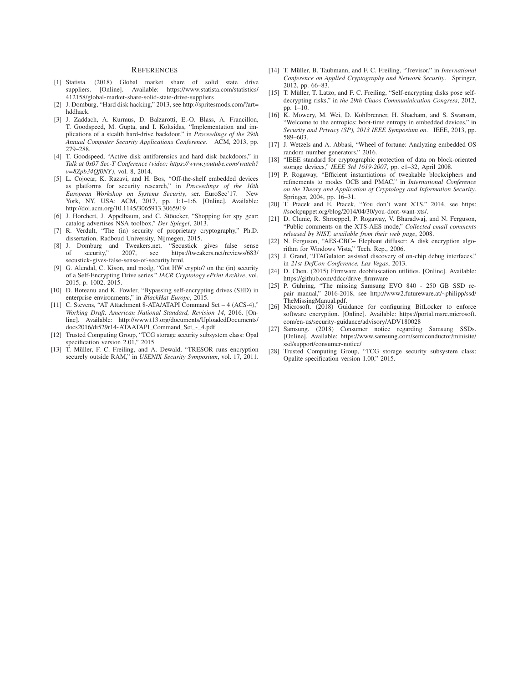#### **REFERENCES**

- [1] Statista. (2018) Global market share of solid state drive suppliers. [Online]. Available: https://www.statista.com/statistics/ 412158/global-market-share-solid-state-drive-suppliers
- [2] J. Domburg, "Hard disk hacking," 2013, see http://spritesmods.com/?art= hddhack.
- [3] J. Zaddach, A. Kurmus, D. Balzarotti, E.-O. Blass, A. Francillon, T. Goodspeed, M. Gupta, and I. Koltsidas, "Implementation and implications of a stealth hard-drive backdoor," in *Proceedings of the 29th Annual Computer Security Applications Conference*. ACM, 2013, pp. 279–288.
- [4] T. Goodspeed, "Active disk antiforensics and hard disk backdoors," in *Talk at 0x07 Sec-T Conference (video: https://www.youtube.com/watch? v=8Zpb34Qf0NY)*, vol. 8, 2014.
- [5] L. Cojocar, K. Razavi, and H. Bos, "Off-the-shelf embedded devices as platforms for security research," in *Proceedings of the 10th European Workshop on Systems Security*, ser. EuroSec'17. New York, NY, USA: ACM, 2017, pp. 1:1–1:6. [Online]. Available: http://doi.acm.org/10.1145/3065913.3065919
- [6] J. Horchert, J. Appelbaum, and C. Stöocker, "Shopping for spy gear: catalog advertises NSA toolbox," *Der Spiegel*, 2013.
- [7] R. Verdult, "The (in) security of proprietary cryptography," Ph.D. dissertation, Radboud University, Nijmegen, 2015.
- [8] J. Domburg and Tweakers.net, "Secustick gives false sense of security," 2007, see https://tweakers.net/reviews/683/ secustick-gives-false-sense-of-security.html.
- [9] G. Alendal, C. Kison, and modg, "Got HW crypto? on the (in) security of a Self-Encrypting Drive series." *IACR Cryptology ePrint Archive*, vol. 2015, p. 1002, 2015.
- [10] D. Boteanu and K. Fowler, "Bypassing self-encrypting drives (SED) in enterprise environments," in *BlackHat Europe*, 2015.
- [11] C. Stevens, "AT Attachment 8-ATA/ATAPI Command Set 4 (ACS-4)," *Working Draft, American National Standard, Revision 14*, 2016. [Online]. Available: http://www.t13.org/documents/UploadedDocuments/ docs2016/di529r14-ATAATAPI\_Command\_Set\_-\_4.pdf
- [12] Trusted Computing Group, "TCG storage security subsystem class: Opal specification version 2.01," 2015.
- [13] T. Müller, F. C. Freiling, and A. Dewald, "TRESOR runs encryption securely outside RAM," in *USENIX Security Symposium*, vol. 17, 2011.
- [14] T. Müller, B. Taubmann, and F. C. Freiling, "Trevisor," in *International Conference on Applied Cryptography and Network Security*. Springer, 2012, pp. 66–83.
- [15] T. Müller, T. Latzo, and F. C. Freiling, "Self-encrypting disks pose selfdecrypting risks," in *the 29th Chaos Communinication Congress*, 2012, pp. 1–10.
- [16] K. Mowery, M. Wei, D. Kohlbrenner, H. Shacham, and S. Swanson, "Welcome to the entropics: boot-time entropy in embedded devices," in *Security and Privacy (SP), 2013 IEEE Symposium on*. IEEE, 2013, pp. 589–603.
- [17] J. Wetzels and A. Abbasi, "Wheel of fortune: Analyzing embedded OS random number generators," 2016.
- [18] "IEEE standard for cryptographic protection of data on block-oriented storage devices," *IEEE Std 1619-2007*, pp. c1–32, April 2008.
- [19] P. Rogaway, "Efficient instantiations of tweakable blockciphers and refinements to modes OCB and PMAC," in *International Conference on the Theory and Application of Cryptology and Information Security*. Springer, 2004, pp. 16–31.
- [20] T. Ptacek and E. Ptacek, "You don't want XTS," 2014, see https: //sockpuppet.org/blog/2014/04/30/you-dont-want-xts/.
- [21] D. Clunie, R. Shroeppel, P. Rogaway, V. Bharadwaj, and N. Ferguson, "Public comments on the XTS-AES mode," *Collected email comments released by NIST, available from their web page*, 2008.
- [22] N. Ferguson, "AES-CBC+ Elephant diffuser: A disk encryption algorithm for Windows Vista," Tech. Rep., 2006.
- [23] J. Grand, "JTAGulator: assisted discovery of on-chip debug interfaces," in *21st DefCon Conference, Las Vegas*, 2013.
- [24] D. Chen. (2015) Firmware deobfuscation utilities. [Online]. Available: https://github.com/ddcc/drive\_firmware
- [25] P. Gühring, "The missing Samsung EVO 840 250 GB SSD repair manual," 2016-2018, see http://www2.futureware.at/~philipp/ssd/ TheMissingManual.pdf.
- [26] Microsoft. (2018) Guidance for configuring BitLocker to enforce software encryption. [Online]. Available: https://portal.msrc.microsoft. com/en-us/security-guidance/advisory/ADV180028
- [27] Samsung. (2018) Consumer notice regarding Samsung SSDs. [Online]. Available: https://www.samsung.com/semiconductor/minisite/ ssd/support/consumer-notice/
- [28] Trusted Computing Group, "TCG storage security subsystem class: Opalite specification version 1.00," 2015.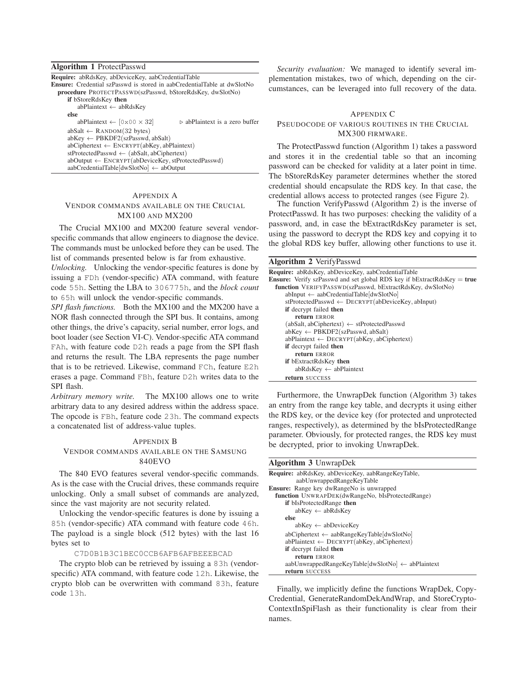## Algorithm 1 ProtectPasswd

Require: abRdsKey, abDeviceKey, aabCredentialTable Ensure: Credential szPasswd is stored in aabCredentialTable at dwSlotNo procedure PROTECTPASSWD(szPasswd, bStoreRdsKey, dwSlotNo) if bStoreRdsKey then abPlaintext ← abRdsKey else abPlaintext  $\leftarrow$  [0x00  $\times$  32] abPlaintext is a zero buffer abSalt ← RANDOM(32 bytes)  $abKey \leftarrow PBKDF2(szPasswd, abSalt)$ abCiphertext ← ENCRYPT(abKey, abPlaintext) stProtectedPasswd ← (abSalt, abCiphertext) abOutput ← ENCRYPT(abDeviceKey,stProtectedPasswd) aabCredentialTable[dwSlotNo] ← abOutput

# APPENDIX A VENDOR COMMANDS AVAILABLE ON THE CRUCIAL MX100 AND MX200

The Crucial MX100 and MX200 feature several vendorspecific commands that allow engineers to diagnose the device. The commands must be unlocked before they can be used. The list of commands presented below is far from exhaustive.

*Unlocking.* Unlocking the vendor-specific features is done by issuing a FDh (vendor-specific) ATA command, with feature code 55h. Setting the LBA to 306775h, and the *block count* to 65h will unlock the vendor-specific commands.

*SPI flash functions.* Both the MX100 and the MX200 have a NOR flash connected through the SPI bus. It contains, among other things, the drive's capacity, serial number, error logs, and boot loader (see Section VI-C). Vendor-specific ATA command FAh, with feature code D2h reads a page from the SPI flash and returns the result. The LBA represents the page number that is to be retrieved. Likewise, command FCh, feature E2h erases a page. Command FBh, feature D2h writes data to the SPI flash.

*Arbitrary memory write.* The MX100 allows one to write arbitrary data to any desired address within the address space. The opcode is FBh, feature code 23h. The command expects a concatenated list of address-value tuples.

# APPENDIX B

# VENDOR COMMANDS AVAILABLE ON THE SAMSUNG 840EVO

The 840 EVO features several vendor-specific commands. As is the case with the Crucial drives, these commands require unlocking. Only a small subset of commands are analyzed, since the vast majority are not security related.

Unlocking the vendor-specific features is done by issuing a 85h (vendor-specific) ATA command with feature code 46h. The payload is a single block (512 bytes) with the last 16 bytes set to

C7D0B1B3C1BEC0CCB6AFB6AFBEEEBCAD

The crypto blob can be retrieved by issuing a 83h (vendorspecific) ATA command, with feature code 12h. Likewise, the crypto blob can be overwritten with command 83h, feature code 13h.

*Security evaluation:* We managed to identify several implementation mistakes, two of which, depending on the circumstances, can be leveraged into full recovery of the data.

## APPENDIX C

# PSEUDOCODE OF VARIOUS ROUTINES IN THE CRUCIAL MX300 FIRMWARE.

The ProtectPasswd function (Algorithm 1) takes a password and stores it in the credential table so that an incoming password can be checked for validity at a later point in time. The bStoreRdsKey parameter determines whether the stored credential should encapsulate the RDS key. In that case, the credential allows access to protected ranges (see Figure 2).

The function VerifyPasswd (Algorithm 2) is the inverse of ProtectPasswd. It has two purposes: checking the validity of a password, and, in case the bExtractRdsKey parameter is set, using the password to decrypt the RDS key and copying it to the global RDS key buffer, allowing other functions to use it.

| <b>Algorithm 2</b> VerifyPasswd                                                  |
|----------------------------------------------------------------------------------|
| <b>Require:</b> abRdsKey, abDeviceKey, aabCredentialTable                        |
| <b>Ensure:</b> Verify szPasswd and set global RDS key if bExtractRdsKey $=$ true |
| function VERIFYPASSWD(szPasswd, bExtractRdsKey, dwSlotNo)                        |
| $abInput \leftarrow aabCredentialTable[dwSlotNo]$                                |
| $stProtectedPasswd \leftarrow DECRYPT(abDeviceKey, abInput)$                     |
| if decrypt failed then                                                           |
| return ERROR                                                                     |
| $(ab Salt, abCiphertext) \leftarrow stProtocolPasswd$                            |
| $abKey \leftarrow PBKDF2(szPasswd, abSalt)$                                      |
| abPlaintext ← DECRYPT(abKey, abCiphertext)                                       |
| if decrypt failed then                                                           |
| return ERROR                                                                     |
| <b>if</b> bExtractRdsKey then                                                    |
| $abRdsKev \leftarrow abPlaintext$                                                |
| return SUCCESS                                                                   |

Furthermore, the UnwrapDek function (Algorithm 3) takes an entry from the range key table, and decrypts it using either the RDS key, or the device key (for protected and unprotected ranges, respectively), as determined by the bIsProtectedRange parameter. Obviously, for protected ranges, the RDS key must be decrypted, prior to invoking UnwrapDek.

| <b>Algorithm 3 UnwrapDek</b>                                 |
|--------------------------------------------------------------|
| <b>Require:</b> abRdsKey, abDeviceKey, aabRangeKeyTable,     |
| aabUnwrappedRangeKeyTable                                    |
| <b>Ensure:</b> Range key dwRangeNo is unwrapped              |
| function UNWRAPDEK(dwRangeNo, bIsProtectedRange)             |
| if bIsProtectedRange then                                    |
| $abKey \leftarrow abRdsKey$                                  |
| else                                                         |
| $abKey \leftarrow abDeviceKey$                               |
| $abCiphertext \leftarrow aabRangeKeyTable[dwSlotNo]$         |
| $abPlaintext \leftarrow DECRYPT(abKey, abCiphertext)$        |
| if decrypt failed then                                       |
| return ERROR                                                 |
| $aabUnwrappedRangeKeyTable[dwSlotNo] \leftarrow abPlaintext$ |
| return SUCCESS                                               |

Finally, we implicitly define the functions WrapDek, Copy-Credential, GenerateRandomDekAndWrap, and StoreCrypto-ContextInSpiFlash as their functionality is clear from their names.